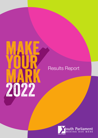

# Results Report

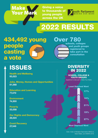

Giving a voice to thousands of young people across the UK



# 2022 RESULTS

434,492 young people casting a vote

# Over 780

schools, colleges and youth groups registered to take part in the consultation

# ISSUES

**Health and Wellbeing 93,023** 

**Jobs, Money, Homes and Opportunities 81,068** Least Deprived Ward

**Education and Learning 77,470** 

**Environment 74,500** 

**Poverty 53,058** 

**Our Rights and Democracy 28,024** 

**Covid Recovery 27,349** 

## IN 2022 DIVERSITY

 YOUTH GROUPS SCHOOL, COLLEGE &

[registered to take part in Make Your Mark]



Data: Index of Multiple Deprivation MHCLG,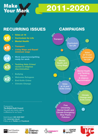**Make Wark** 

2011-2020

# RECURRING ISSUES

x6

### • Votes at 16

- Curriculum for Life
- **Mental Health**



x4

- **Transport**
- Living Wage and Equal/ minimum wage
- Work experience/getting ready for work
- x3 • Tackling Hate Crime/ racism & religious discrimination
- x2
- **Bullying**
- Welcome Refugees
- **End Knife Crime**
- **Climate Change**

CAMPAIGNS



**ENTRE** FOR YOUTH IMPACT

Produced by **The British Youth Council**  the youth-led charity making a difference for our future.

Switchboard: 020 4529 5927 Visit: <www.byc.org.uk> Follow us on Twitter and Facebook





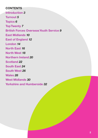### **CONTENTS**

**Introduction** *3*  **Turnout** *5*  **Topics** *6*  **Top Twenty** *7*  **British Forces Overseas Youth Service** *9*  **East Midlands** *10*  **East of England** *12*  **London** *14*  **North East** *16*  **North West** *18*  **Northern Ireland** *20*  **Scotland** *22*  **South East** *24*  **South West** *26*  **Wales** *28*  **West Midlands** *30*  **Yorkshire and Humberside** *32*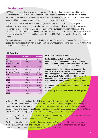### **Introduction**

2022 has been an exciting year for Make Your Mark. For the frst time we made the bold move to combine the UK consultation with Member of Youth Parliament elections in order to streamline the way in which we hear young people's voices. This approach was a big step and would not have been possible without the ongoing support from dedicated Local Authority workers across the UK.

Despite the changes in way the vote was held, what remains the same in 2022 is our gratitude and appreciation to the young people who took part, the schools, colleges and youth groups who supported the process and our funders The Paul Hamlyn Foundation, Children in Need and The National Lottery Community Fund. Finally, we would like to thank our partners who have helped facilitate the consultation; the Education and Engagement Team at UK Parliament and the Centre For Youth Impact.

We would also like to thank our current Members of Youth Parliament and Steering Group who have guided this new process from start to finish seamlessly. Without their dedication and tenacity, Make Your Mark would not be possible.

| Year                               | No. of Votes | <b>Turnout</b> |
|------------------------------------|--------------|----------------|
| 2022                               | 434,492      | 7.06%          |
| 2020 UK/<br><b>Devolved Topics</b> | 185,677      | 3.13%          |
| <b>Local Topics</b>                | 180,786      | 3.05%          |
| 2019 UK Topics                     | 838,288      | 13.93%         |
| <b>Devolved Topics</b>             | 840,322      | 14.04%         |
| 2018                               | 1,106,788    | 18,80%         |
| 2017                               | 954,766      | 16.20%         |
| 2016                               | 978,216      | 16.60%         |
| 2015                               | 969,992      | 16.46%         |
| 2014                               | 876,488      | 14.88%         |
| 2013                               | 478,386      | 8.12%          |
| 2012                               | 253,637      | 4.31%          |
| 2011                               | 65,532       | 1.10%          |

#### **UK Results**

#### **YOUTH POPULATION CHANGES**

For the 2022 consultation and Member of Youth Parliament Elections turnouts are based on the most recent data published by the Official of National Statistics which was published at the end of June 2021.

With the update in the 11-18 year old population, the removal of UK wide and Devolved Topics and a new combined approach to voting (Make Your Mark and Member of Youth Parliament Elections) in many Local Authorities, we propose that the 2022 data be used as a benchmark. The amalgamation of new factors means it would not be fair to compare figures in this report against previous years. Past turnouts can be found on our website at:

www.byc.org.uk/uk/uk-youth-parliament/make-your-mark

Make Your Mark usually selects the UK/Devolved topics Members of Youth Parliament debate in the House of Commons Chamber, where they also vote on the future campaigns. Due to the ongoing challenges of the global pandemic our 2020 - 22 cohort of Members of Youth Parliament were unable to meet and debate in the House of Commons. Therefore the process and purpose of Make Your Mark has been adapted to avoid potential challenges in the upcoming years.

Our Steering Group and Members of Youth Parliament worked together, using the 2020 manifesto to vote on the themes which appeared on the 2022 ballot paper.

The idea to have broader themes for Make Your Mark 2022 will mean newly elected Members of Youth Parliament will be able to conduct localised research to better understand how an issue impacts upon the communities and people they stand to represent.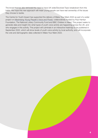The broad themes also removed the need to have UK wide/Devolved Topic breakdown from the ballot. We hope this new approach will mean young people can have real ownership of the issues they choose to tackle.

The Centre for Youth Impact has supported the delivery of Make Your Mark 2022 as part of a wider project on *Maximising Young People's Voice and Power,* collaboratively funded by Paul Hamlyn Foundation, The National Lottery Community Fund and BBC Children in Need. This project seeks to generate data and insight into what types of youth voice activity are happening across the UK, and who engages in this activity. This project will culminate in an interactive heatmap to be published in September 2022, which will show levels of youth voice activity by local authority, and will incorporate the vote and demographic data collected in Make Your Mark 2022.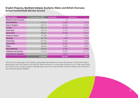#### **English Regions, Northern Ireland, Scotland, Wales and British Overseas Armed Forces Youth Service turnout**

| <b>Region/Nation</b>           | 11-18 Population 2018 | <b>Total Votes</b> | Turnout % |
|--------------------------------|-----------------------|--------------------|-----------|
| <b>British Forces Overseas</b> |                       | 24                 |           |
| <b>East Midlands</b>           | 442,917               | 18,922             | 4.27%     |
| <b>East of England</b>         | 582,214               | 54,662             | 9.39%     |
| London                         | 824,122               | 31,762             | 3.85%     |
| <b>North East</b>              | 236,125               | 31,430             | 13.31%    |
| <b>North West</b>              | 680,687               | 87,869             | 12.91%    |
| Northern Ireland               | 191,993               | 97                 | 0.05%     |
| <b>Scotland</b>                | 460,138               | 4,993              | 1.09%     |
| <b>South East</b>              | 874,040               | 72,362             | 8.28%     |
| <b>South West</b>              | 495,046               | 35,897             | 7.25%     |
| <b>Wales</b>                   | 282,581               | 10,866             | 3.85%     |
| <b>West Midlands</b>           | 568,962               | 27,895             | 4.90%     |
| <b>Yorkshire and Humber</b>    | 513,794               | 55,042             | 10.71%    |
| Postcode not matched           |                       | 2,671              |           |
|                                | 6,152,619             | 434,492            | 7.06%     |

\*As part of the voting page on the website, young people were asked to provide a full postcode. This was then used to allocate their vote to the relevant Local Authority. Where only part or an inaccurate postcode e.g. an O was used in place of a 0 (zero), it has not been possible to allocate these votes to the Local Authority. In order for these votes to still count, they have been grouped together.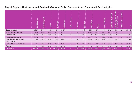#### **English Regions, Northern Ireland, Scotland, Wales and British Overseas Armed Forces Youth Service topics**

|                                                | East Midlands   | England<br>$\overline{5}$<br>East | London | East<br>North | iseW<br>North | Northern Ireland | Scotland | East<br>South | West<br>South | Wales  | West Midlands | ৯ :<br>and Humb<br>Yorkshire | tially<br>ਨ<br>piduio<br><b>Online</b><br>ō: | Overseas<br>Forces<br>British | <b>Total</b> |
|------------------------------------------------|-----------------|-----------------------------------|--------|---------------|---------------|------------------|----------|---------------|---------------|--------|---------------|------------------------------|----------------------------------------------|-------------------------------|--------------|
| <b>Covid Recovery</b>                          | 3327            | 3131                              | 1855   | 1694          | 5187          | 9                | 701      | 2948          | 1999          | 871    | 1640          | 3,824                        | 161                                          | $\overline{2}$                | 27,349       |
| <b>Education and Learning</b>                  | 3750            | 9059                              | 6040   | 5054          | 16352         | 19               | 659      | 13240         | 6824          | 1876   | 5071          | 9,034                        | 491                                          |                               | 77,470       |
| Environment                                    | 3706            | 9712                              | 4699   | 5279          | 13305         | 19               | 717      | 14085         | 7007          | 1654   | 4953          | 8,855                        | 505                                          | $\overline{4}$                | 74,500       |
| <b>Health and Wellbeing</b>                    | 3138            | 12518                             | 7591   | 7344          | 17087         | 16               | 747      | 14579         | 8262          | 3115   | 5828          | 12,267                       | 521                                          | 10 <sup>1</sup>               | 93,023       |
| Jobs, Money, Homes and<br><b>Opportunities</b> | 2486            | 10449                             | 5324   | 6396          | 16847         | 17               | 696      | 14322         | 4949          | 1848   | 5570          | 11,629                       | 532                                          | 3                             | 81,068       |
| <b>Our Rights and Democracy</b>                | 971             | 3257                              | 2280   | 1635          | 6711          | 11 <sup>1</sup>  | 705      | 4610          | 2671          | 494    | 1569          | 2,940                        | 168                                          | 2 <sup>1</sup>                | 28,024       |
| <b>Poverty</b>                                 | 1544            | 6536                              | 3973   | 4028          | 12380         | 6                | 768      | 8578          | 4185          | 1008   | 3264          | 6,493                        | 293                                          | $\overline{2}$                | 53,058       |
| <b>Total Votes:</b>                            | 18,922 $\vdots$ | 54,662:                           | 31,762 | 31,430        | 87,869        | 97 <sup>1</sup>  | 4,993    | 72,362        | 35,897        | 10,866 | 27,895        | 55,042                       | 2,671                                        | 24:                           | 434,492      |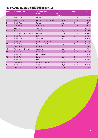#### **Top 20 Areas (based on percentage turnout)**

| <b>Position</b> | <b>Region/Nation</b>     | <b>Local Authority/</b><br><b>Constituency</b> | $11 - 18$<br>year old<br>population | <b>Total Votes</b> | Turnout % |
|-----------------|--------------------------|------------------------------------------------|-------------------------------------|--------------------|-----------|
| 1               | East Midlands            | Rutland                                        | 4,134                               | 1,930              | 46.69%    |
| $\overline{2}$  | East of England          | Southend-on-Sea, City of                       | 16,918                              | 7,136              | 42.18%    |
| 3               | North West               | Oldham                                         | 25,940                              | 10,888             | 41.97%    |
| 4               | <b>West Midlands</b>     | Wolverhampton                                  | 25,808                              | 10,146             | 39.31%    |
| 5               | South West               | Plymouth                                       | 22,735                              | 8,701              | 38.27%    |
| 6               | <b>Wales</b>             | Ceredigion                                     | 5,796                               | 2,160              | 37.27%    |
| 7               | Yorkshire and Humberside | <b>Barnsley</b>                                | 22,044                              | 7,758              | 35.19%    |
| 8               | North West               | <b>Trafford</b>                                | 25,335                              | 8,814              | 34.79%    |
| 9               | North East               | Darlington                                     | 10,173                              | 3,477              | 34.18%    |
| 10              | <b>North East</b>        | <b>Redcar and Cleveland</b>                    | 12,166                              | 3,958              | 32.53%    |
| 11              | North West               | <b>Blackburn with Darwen</b>                   | 17,116                              | 5,027              | 29.37%    |
| 12              | South East               | Medway                                         | 27,598                              | 7,988              | 28.94%    |
| 13              | Yorkshire and Humberside | Doncaster                                      | 29,261                              | 8,466              | 28.93%    |
| 14              | South East               | Southampton                                    | 21,017                              | 6,080              | 28.93%    |
| 15              | North East               | South Tyneside                                 | 13,169                              | 3,682              | 27.96%    |
| 16              | North West               | <b>Bolton</b>                                  | 28,987                              | 8,090              | 27.91%    |
| 17              | North West               | <b>Tameside</b>                                | 21,220                              | 5,917              | 27.88%    |
| 18              | <b>West Midlands</b>     | <b>Telford and Wrekin</b>                      | 18,085                              | 4,855              | 26.85%    |
| 19              | North East               | Hartlepool                                     | 8,932                               | 2,358              | 26.40%    |
| 20              | South East               | <b>Bracknell Forest</b>                        | 13,076                              | 3,441              | 26.32%    |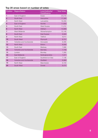#### **Top 20 areas based on number of votes**

| <b>Position</b> | <b>Region/Nation</b>     | <b>Local Authority/</b><br><b>Constituency</b> | <b>Total Votes</b> |
|-----------------|--------------------------|------------------------------------------------|--------------------|
| 1               | East of England          | <b>Essex</b>                                   | 20,218             |
| $\overline{2}$  | South East               | Hampshire                                      | 17,385             |
| 3               | North West               | Lancashire                                     | 16,359             |
| $\overline{4}$  | East of England          | Norfolk                                        | 11,659             |
| 5               | South East               | <b>West Sussex</b>                             | 11,212             |
| 6               | North West               | Oldham                                         | 10,888             |
| $\overline{7}$  | <b>West Midlands</b>     | Wolverhampton                                  | 10,146             |
| 8               | South East               | <b>East Sussex</b>                             | 9,565              |
| 9               | North West               | <b>Trafford</b>                                | 8,814              |
| 10              | South West               | Plymouth                                       | 8,701              |
| 11              | Yorkshire and Humberside | Doncaster                                      | 8,466              |
| 12              | North West               | <b>Bolton</b>                                  | 8,090              |
| 13              | South East               | Medway                                         | 7,988              |
| 14              | Yorkshire and Humberside | <b>Barnsley</b>                                | 7,758              |
| 15              | London                   | <b>Bromley</b>                                 | 7,390              |
| 16              | <b>East Midlands</b>     | Nottinghamshire                                | 7,371              |
| 17              | East of England          | Southend-on-Sea                                | 7,136              |
| 18              | Yorkshire and Humberside | Sheffield                                      | 6,968              |
| 19              | North West               | Manchester                                     | 6,729              |
| 20              | South West               | <b>Dorset</b>                                  | 6,474              |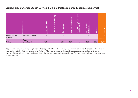#### **British Forces Overseas Youth Service & Online: Postcode partially completed/correct**

|                                   |                          | กา<br>pivo<br>Θ | စ္စာ<br>ᅙ<br>. ल<br>ត<br>Educatio | 面   | eing<br><b>Wellbe</b><br>and<br>Health | ਨ<br>ದ<br>ທ<br>ሰነ<br><u>a:</u><br>с<br>ō | ю<br>ā |              | ഉ<br>$\overline{\mathfrak{a}}$ |
|-----------------------------------|--------------------------|-----------------|-----------------------------------|-----|----------------------------------------|------------------------------------------|--------|--------------|--------------------------------|
| <b>British Forces</b><br>Overseas | <b>Various Locations</b> | C               |                                   | 4   | 10                                     | 3                                        | 2      | $\mathbf{2}$ | 24                             |
| Online                            | Postcode<br>unmatched    | 161             | 491                               | 505 | 521                                    | 532                                      | 168    | 293          | 2,671                          |

\*As part of the voting page young people were asked to provide a full postcode. Using a UK Government postcode database. This was then used to allocate their vote to the relevant Local Authority. Where only a part, or an inaccurate postcode was provided eg. an O was used in place of a 0 (zero), it has not been possible to allocate these votes to the Local Authority. In order for these votes to still count, they have been grouped together.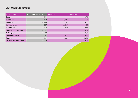#### **East Midlands Turnout**

| <b>Local Council</b>          | Population age 11-18 | <b>Total Vote</b> | Turnout % |
|-------------------------------|----------------------|-------------------|-----------|
| Derby                         | 25,922               | $\overline{2}$    | 0.0%      |
| <b>Derbyshire</b>             | 69,490               | 5,038             | 7.2%      |
| Leicester                     | 35,449               | 1,291             | 3.6%      |
| Leicestershire                | 64,897               | 2,907             | 4.5%      |
| Lincolnshire                  | 64,710               | 350               | 0.5%      |
| <b>North Northamptonshire</b> | 34,851               | 17                | 0.0%      |
| Nottingham                    | 30,078               | 11                | 0.0%      |
| Nottinghamshire               | 74,087               | 7,371             | 9.9%      |
| <b>Rutland</b>                | 4,134                | 1,930             | 46.7%     |
| <b>West Northamptonshire</b>  | 39,299               | 5                 | 0.0%      |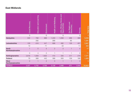#### **East Midlands**

|                                  | Recovery<br>Covid | earning<br>and<br>Education | Ξ<br>띧         | Health and Wellbeing | <b>p</b> la<br>Homes<br>Jobs, Money,<br>tunitie<br>Oppor | and<br><b>Our Rights</b><br>$\bar{\mathbb{E}}$<br>Ŏ<br><b>B</b> | Poverty        | <b>Total Vote</b> |
|----------------------------------|-------------------|-----------------------------|----------------|----------------------|----------------------------------------------------------|-----------------------------------------------------------------|----------------|-------------------|
|                                  | $\overline{O}$    |                             | $\overline{O}$ |                      | $\Omega$                                                 |                                                                 | $\Omega$       |                   |
| Derbyshire                       | 222               | 793                         | 968            | 1,240                | 1,058                                                    | 268                                                             | 489            | 5,038             |
|                                  |                   | 292                         |                | 266                  |                                                          | 85                                                              |                | 1,291             |
| Leicestershire                   | 129               | 616                         | 447            | 698                  | 482                                                      | 128                                                             | 407            | 2,907             |
|                                  | 10                |                             | 71             |                      | 53                                                       |                                                                 | 11             | 350               |
| <b>North</b><br>Northamptonshire |                   | $\mathsf O$                 | 5              | $\mathbf{2}$         | 3                                                        |                                                                 | 5              | 17                |
|                                  | $\overline{O}$    | 4                           | $\overline{2}$ |                      |                                                          |                                                                 | $\mathbf{2}$   | 11                |
| Nottinghamshire                  | 2,816             | 1,608                       | 1,602          | 415                  | 335                                                      | 317                                                             | 278            | 7,371             |
| <b>Rutland</b>                   | 79                | 368                         | 442            | 388                  | 305                                                      | 159                                                             | 189            | 1,930             |
| West<br>Northamptonshire         | $\overline{O}$    |                             | $\overline{2}$ | $\circ$              |                                                          |                                                                 | $\overline{0}$ | 5                 |
| <b>TOTALS</b>                    | 3,327             | 3,750                       | 3,706          | 3,138                | 2,486                                                    | 971                                                             | 1,544          | 18,922            |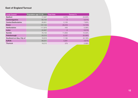#### **East of England Turnout**

| <b>Local Council</b>        | $\frac{1}{2}$ Population age 11-18 | <b>Total Vote</b> | Turnout % |
|-----------------------------|------------------------------------|-------------------|-----------|
| <b>Bedford</b>              | 17,447                             | 4,278             | 24.52%    |
| Cambridgeshire              | 60,104                             | 5                 | 0.01%     |
| <b>Central Bedfordshire</b> | 26,951                             | 2,128             | 7.90%     |
| <b>Essex</b>                | 137,144                            | 20,218            | 14.74%    |
| Hertfordshire               | 117,979                            | 449               | 0.38%     |
| Luton                       | 22,937                             | 2                 | 0.01%     |
| <b>Norfolk</b>              | 76,103                             | 11,659            | 15.32%    |
| Peterborough                | 20,215                             | 5,127             | 25.36%    |
| Southend-on-Sea, City of    | 16,918                             | 7,136             | 42.18%    |
| <b>Suffolk</b>              | 68,201                             | 3,281             | 4.81%     |
| <b>Thurrock</b>             | 18,215                             | 379               | 2.08%     |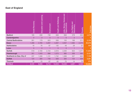#### **East of England**

|                             | <b>Covid Recovery</b> | earning<br><b>Pug</b><br>Education | men<br>띧      | Health and Wellbeing | lous<br>Homes<br>Jobs, Money,<br>ities<br>Oppoi | <b>Our Rights and</b><br>ට<br>ල<br>Demo | Poverty  | <b>Total Vote</b> |
|-----------------------------|-----------------------|------------------------------------|---------------|----------------------|-------------------------------------------------|-----------------------------------------|----------|-------------------|
| <b>Bedford</b>              | 165                   | 838                                | 736           | 938                  | 693                                             | 278                                     | 630      | 4,278             |
| Cambridgeshire              | $\overline{O}$        | 3                                  | $\mathcal{O}$ | $\mathbf{O}$         | $\mathbf 0$                                     | $\overline{2}$                          | 0        | 5                 |
| <b>Central Bedfordshire</b> | 261                   | 179                                | 623           | 506                  | 150                                             | 198                                     | 211      | 2,128             |
| <b>Essex</b>                | 1,490                 | 2,765                              | 3,267         | 4,307                | 4,557                                           | 1,362                                   | 2,470    | 20,218            |
| Hertfordshire               | 16                    | 76                                 | 87            | 135                  | 49                                              | 29                                      | 57       | 449               |
| Luton                       | $\overline{O}$        | $\overline{O}$                     | 1             | $\overline{0}$       | $\overline{0}$                                  |                                         | $\Omega$ | $\overline{2}$    |
| <b>Norfolk</b>              | 519                   | 2,183                              | 2,154         | 2,816                | 2,293                                           | 623                                     | 1,071    | 11,659            |
| Peterborough                | 301                   | 1,043                              | 898           | 1,073                | 980                                             | 269                                     | 563      | 5,127             |
| Southend-on-Sea, City of    | 237                   | 1,508                              | 1,131         | 1,742                | 1,268                                           | 327                                     | 923      | 7,136             |
| <b>Suffolk</b>              | 124                   | 394                                | 748           | 939                  | 384                                             | 154                                     | 538      | 3,281             |
| <b>Thurrock</b>             | 18                    | 70                                 | 67            | 62                   | 75                                              | 14                                      | 73       | 379               |
| <b>TOTALS</b>               | 3,131                 | 9,059                              | 9,712         | 12,518               | 10,449                                          | 3,257                                   | 6,536    | 54,662            |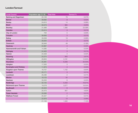#### **London Turnout**

| <b>Local Council</b>          | Population age 11-18 : Total Vote |                            | Turnout % |
|-------------------------------|-----------------------------------|----------------------------|-----------|
| <b>Barking and Dagenham</b>   | 25,128                            | 79                         | 0.31%     |
| <b>Barnet</b>                 | 39,692                            | $\,8\,$                    | 0.02%     |
| <b>Bexley</b>                 | 24,610                            | 14                         | 0.06%     |
| <b>Brent</b>                  | 30,573                            | 994                        | 3.25%     |
| <b>Bromley</b>                | 31,589                            | 7,390                      | 23.39%    |
| Camden                        | 23,414                            | 3                          | 0.01%     |
| City of London                | 700                               | $\mathbf 0$                | 0.00%     |
| Croydon                       | 39,956                            | 3                          | 0.01%     |
| Ealing                        | 33,059                            | 19                         | 0.06%     |
| <b>Enfield</b>                | 35,634                            | $\overline{2}$             | 0.01%     |
| Greenwich                     | 26,948                            | 49                         | 0.18%     |
| <b>Hackney</b>                | 24,867                            | $\overline{4}$             | 0.02%     |
| <b>Hammersmith and Fulham</b> | 14,385                            | $\overline{4}$             | 0.03%     |
| <b>Haringey</b>               | 24,463                            | 3                          | 0.01%     |
| Harrow                        | 24,428                            | $\overline{4}$             | 0.02%     |
| <b>Havering</b>               | 24,274                            | 940                        | 3.87%     |
| Hillingdon                    | 29,953                            | 3,191                      | 10.65%    |
| <b>Hounslow</b>               | 25,381                            | 6,346                      | 25.00%    |
| Islington                     | 17,500                            | $\ensuremath{\mathcal{S}}$ | 0.02%     |
| <b>Kensington and Chelsea</b> | 11,973                            | $\overline{4}$             | 0.03%     |
| <b>Kingston upon Thames</b>   | 16,707                            | 1,152                      | 6.90%     |
| Lambeth                       | 25,171                            | 3                          | 0.01%     |
| Lewisham                      | 26,296                            | $\mathbf{2}$               | 0.01%     |
| <b>Merton</b>                 | 18,123                            | 54                         | 0.30%     |
| Newham                        | 33,200                            | 6                          | 0.02%     |
| Redbridge                     | 32,125                            | 5,433                      | 16.91%    |
| <b>Richmond upon Thames</b>   | 19,278                            | 3,577                      | 18.55%    |
| <b>Southwark</b>              | 25,523                            | $\,6\,$                    | 0.02%     |
| <b>Sutton</b>                 | 20,470                            | 947                        | 4.63%     |
| <b>Tower Hamlets</b>          | 29,366                            | $\overline{2}$             | 0.01%     |
| <b>Waltham Forest</b>         | 25,327                            | $\overline{2}$             | 0.01%     |
|                               | 22,876                            | 13                         | 0.06%     |
|                               | 21,133                            | 1,505                      | 7.12%     |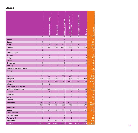#### **London**

|                               |                     | Education and Learning   | Environment              | Health and Wellbeing     | Jobs, Money, Homes and<br><b>tunities</b><br>Oppor | Democracy<br>Rights and<br>$\overline{\mathsf{Dir}}$ | Poverty      | <b>Total Vote</b> |
|-------------------------------|---------------------|--------------------------|--------------------------|--------------------------|----------------------------------------------------|------------------------------------------------------|--------------|-------------------|
|                               | $\overline{4}$      | 18                       | 6                        | 24                       | 13                                                 | 10                                                   | 4            | $\frac{79}{111}$  |
| <b>Barnet</b>                 | $\overline{O}$      | $\mathbf{1}$             | $\overline{2}$           | $\overline{4}$           | $\mathbf{1}$                                       | ÷,                                                   |              | $\boldsymbol{8}$  |
| <b>Bexley</b>                 | $\circ$             | 4                        | 3                        | $\mathbf{1}$             | 5                                                  | $\circ$                                              | 1            | 14                |
| <b>Brent</b>                  | 53                  | 219                      | 190                      | 190                      | 128                                                | 149                                                  | 65           | 994               |
| <b>Bromley</b>                | 189                 | 908                      | 1,208                    | 3,476                    | 339                                                | 584                                                  | 686          | 7,390             |
| Camden                        | $\mathsf O$         |                          |                          | $\blacksquare$           | $\overline{2}$                                     |                                                      |              | 3                 |
| <b>City of London</b>         | $\bigcirc$          |                          |                          |                          |                                                    |                                                      |              |                   |
| Croydon                       | $\mathsf{O}\xspace$ | $\overline{O}$           | $\mathbf{1}$             | 1                        | $\overline{O}$                                     | 1                                                    | $\mathbf 0$  | $\frac{3}{2}$     |
| Ealing                        | $\mathbf{1}$        | 5                        | 3                        | 6                        | $\mathbf{1}$                                       | $\mathbf{1}$                                         | $\mathbf{2}$ | 19                |
| <b>Enfield</b>                | $\mathsf{O}$        |                          | $\mathbf{1}$             | $\overline{\phantom{a}}$ | $\mathbf{1}$                                       |                                                      |              | $\overline{c}$    |
| Greenwich                     | 3                   | 11                       | 5                        | $\,$ 6 $\,$              | 14                                                 | $\overline{4}$                                       | 6            | 49                |
| Hackney                       | $\mathbf{1}$        | $\mathbf{1}$             | $\mathsf{O}\xspace$      | $\mathbf{1}$             | $\mathsf{O}$                                       | $\overline{O}$                                       | 1            | 4                 |
| <b>Hammersmith and Fulham</b> | $\mathcal O$        | $\mathbf 1$              | $\overline{\phantom{a}}$ | 1                        | $\overline{\phantom{a}}$                           |                                                      | $\mathbf{2}$ | 4                 |
| <b>Haringey</b>               | $\mathsf{O}\xspace$ |                          | 1                        | 1                        | $\mathbf{1}$                                       |                                                      |              | 3                 |
|                               | $\overline{O}$      | 3                        |                          | 1                        |                                                    |                                                      |              | 4                 |
| <b>Havering</b>               | 24                  | 233                      | 85                       | 224                      | 209                                                | 48                                                   | 117          | 940               |
| Hillingdon                    | 264                 | 651                      | 530                      | 532                      | 544                                                | 268                                                  | 402          | 3,191             |
| <b>Hounslow</b>               | 304                 | 1,349                    | 885                      | 1,097                    | 1,445                                              | 378                                                  | 888          | 6,346             |
| Islington                     | $\mathcal O$        | $\overline{c}$           |                          |                          |                                                    | $\mathbf{1}$                                         |              |                   |
| <b>Kensington and Chelsea</b> | $\mathsf{O}\xspace$ | $\mathbf{1}$             | $\mathbf{1}$             | 41                       | $\mathbf{1}$                                       | $\mathbf{1}$                                         |              | 4                 |
| Kingston upon Thames          | 46                  | 230                      | 221                      | 262                      | 184                                                | 63                                                   | 146          | 1,152             |
| Lambeth                       | $\mathsf O$         | $\mathsf O$              | $\mathsf{O}\xspace$      | 2 <sup>1</sup>           | $\mathbf{1}$                                       | $\mathsf O$                                          | $\mathsf O$  | 3                 |
| Lewisham                      | $\bigcirc$          | $\overline{\phantom{a}}$ | $\mathbf{1}$             | 1                        | $\overline{\phantom{m}}$                           |                                                      |              | $\overline{2}$    |
| <b>Merton</b>                 | 5                   | 12                       | 10                       | 5                        | 5                                                  | $\,8\,$                                              | $\Theta$     | 54                |
| Newham                        | $\mathbf{1}$        | $\mathbf{1}$             |                          | 1                        | $\mathbf{2}$                                       | $\mathbf{1}$                                         |              | $\boldsymbol{6}$  |
| Redbridge                     | 220                 | 1,530                    | 571                      | 818                      | 1,321                                              | 279                                                  | 694          | 5,433             |
|                               | 607                 | 438                      | 529                      | 520                      | 556                                                | 254                                                  | 673          | 3,577             |
| <b>Southwark</b>              | 1                   |                          | $\mathbf{1}$             | $\overline{2}$           |                                                    | - 1                                                  | $\mathbf{2}$ | 6                 |
| <b>Sutton</b>                 | 32                  | 157                      | 105                      | 300                      | 175                                                | 47                                                   | 131          | 947               |
| <b>Tower Hamlets</b>          | $\mathsf O$         | -                        | $\overline{\phantom{a}}$ | $\mathbf{1}$             | $\mathbf{1}$                                       | ٠                                                    |              | 2                 |
| <b>Waltham Forest</b>         | $\mathsf O$         |                          |                          |                          |                                                    | 1                                                    | $\mathbf{1}$ | $\overline{2}$    |
| Wandsworth                    | $\overline{O}$      | $\overline{2}$           | $\mathcal{S}$            | $\overline{4}$           | $\mbox{3}$                                         | ٠                                                    | 1            | 13                |
| Westminster                   | 100                 | 263                      | 337                      | 109                      | 372                                                | 182                                                  | 142          | 1,505             |
| <b>TOTALS</b>                 | 1,855               | 6,040:                   | 4,699:                   | 7,591                    | 5,324                                              | 2,280                                                | 3,973:       | 31,762            |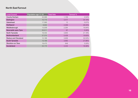#### **North East Turnout**

| <b>Local Council</b>        | Population age 11-18 | <b>Total Vote</b> | Turnout % |
|-----------------------------|----------------------|-------------------|-----------|
| <b>County Durham</b>        | 45,589               | 1,159             | 2.54%     |
| <b>Darlington</b>           | 10,173               | 3,477             | 34.18%    |
| Gateshead                   | 17,590               | 12                | 0.07%     |
| Hartlepool                  | 8,932                | 2,358             | 26.40%    |
| Middlesbrough               | 13,539               | 2,294             | 16.94%    |
| Newcastle upon Tyne         | 25,511               | 67                | 0.26%     |
| North Tyneside              | 18,432               | 3,903             | 21.18%    |
| Northumberland              | 27,374               | 5,428             | 19.83%    |
| <b>Redcar and Cleveland</b> | 12,166               | 3,958             | 32.53%    |
| <b>South Tyneside</b>       | 13,169               | 3,682             | 27.96%    |
| <b>Stockton-on-Tees</b>     | 19,475               | 648               | 3.33%     |
| <b>Sunderland</b>           | 24,175               | 4,444             | 18.38%    |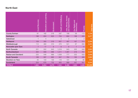#### **North East**

|                             | Covid Recovery | earning<br>and<br>Education | Environment | Health and Wellbeing | Homes<br>Opportunities<br>Jobs, Money,<br>and | <b>Due</b><br><b>Our Rights</b><br>crac <sub>)</sub><br>Demo | Poverty        | <b>Total Vote</b> |
|-----------------------------|----------------|-----------------------------|-------------|----------------------|-----------------------------------------------|--------------------------------------------------------------|----------------|-------------------|
| <b>County Durham</b>        | 91             | 182                         | 218         | 297                  | 199                                           | 59                                                           | 113            | 1,159             |
| <b>Darlington</b>           | 196            | 653                         | 623         | 754                  | 604                                           | 188                                                          | 459            | 3,477             |
| Gateshead                   |                | $\overline{4}$              |             | $\mathbf{2}$         | $\mathbf{2}$                                  | 1                                                            | $\overline{2}$ | 12                |
| Hartlepool                  | 109            | 305                         | 319         | 657                  | 487                                           | 167                                                          | 314            | 2,358             |
| Middlesbrough               | 112            | 460                         | 310         | 470                  | 541                                           | 97                                                           | 304            | 2,294             |
| Newcastle upon Tyne         | $\overline{7}$ | 17                          | 8           | 8                    | 6                                             | $\overline{7}$                                               | 14             | 67                |
| North Tyneside              | 201            | 552                         | 643         | 1,018                | 843                                           | 202                                                          | 444            | 3,903             |
| Northumberland              | 264            | 939                         | 968         | 1,211                | 1,067                                         | 218                                                          | 761            | 5,428             |
| <b>Redcar and Cleveland</b> | 225            | 546                         | 666         | 1,009                | 777                                           | 232                                                          | 503            | 3,958             |
| <b>South Tyneside</b>       | 189            | 587                         | 662         | 847                  | 764                                           | 165                                                          | 468            | 3,682             |
| <b>Stockton-on-Tees</b>     | 45             | 133                         | 130         | 116                  | 107                                           | 32                                                           | 85             | 648               |
| <b>Sunderland</b>           | 254            | 676                         | 732         | 955                  | 999                                           | 267                                                          | 561            | 4,444             |
| <b>TOTALS</b>               | 1,694          | 5,054                       | 5,279       | 7,344                | 6,396                                         | 1,635                                                        | 4,028          | 31,430            |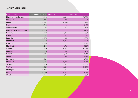#### **North West Turnout**

| <b>Local Council</b>             | Population age 11-18 $\frac{1}{2}$ Total Vote |                | Turnout % |
|----------------------------------|-----------------------------------------------|----------------|-----------|
| <b>Blackburn with Darwen</b>     | 17,116                                        | 5,027          | 29.37%    |
| <b>Blackpool</b>                 | 12,491                                        | 237            | 1.90%     |
| <b>Bolton</b>                    | 28,987                                        | 8,090          | 27.91%    |
| <b>Bury</b>                      | 18,716                                        | 31             | 0.17%     |
| <b>Cheshire East</b>             | 35,066                                        | 4,048          | 11.54%    |
| <b>Cheshire West and Chester</b> | 30,315                                        | 217            | 0.72%     |
| Cumbria                          | 42,642                                        | 4,713          | 11.05%    |
| <b>Halton</b>                    | 12,707                                        | 1,425          | 11.21%    |
| Knowsley                         | 13,975                                        | 655            | 4.69%     |
| Lancashire                       | 112,612                                       | 16,359         | 14.53%    |
| Liverpool                        | 39,543                                        | 3              | 0.01%     |
| <b>Manchester</b>                | 50,248                                        | 6,729          | 13.39%    |
| Oldham                           | 25,940                                        | 10,888         | 41.97%    |
| Rochdale                         | 22,525                                        | 395            | 1.75%     |
| Salford                          | 23,061                                        | 1,593          | 6.91%     |
| <b>Sefton</b>                    | 24,041                                        | 665            | 2.77%     |
| St. Helens                       | 15,932                                        | $\overline{2}$ | 0.01%     |
| <b>Stockport</b>                 | 27,564                                        | 2,960          | 10.74%    |
| <b>Tameside</b>                  | 21,220                                        | 5,917          | 27.88%    |
| <b>Trafford</b>                  | 25,335                                        | 8,814          | 34.79%    |
| Warrington                       | 19,658                                        | 1,513          | 7.70%     |
| Wigan                            | 30,838                                        | 5,872          | 19.04%    |
| <b>Wirral</b>                    | 30,155                                        | 1,716          | 5.69%     |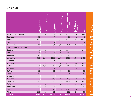#### **North West**

|                                  | <b>Covid Recovery</b> | Learning<br><b>Education and</b> | Environment    | <b>Health and Wellbeing</b> | Jobs, Money, Homes and<br>Opportunities | Our Rights and<br>Democracy | Poverty        | <b>Total Vote</b> |
|----------------------------------|-----------------------|----------------------------------|----------------|-----------------------------|-----------------------------------------|-----------------------------|----------------|-------------------|
| <b>Blackburn with Darwen</b>     | 255                   | 1,084                            | 539            | 1,033                       | 1,118                                   | 299                         | 699            | 5,027             |
| <b>Blackpool</b>                 | 18                    | 41                               | 47             | 40                          | 53                                      | 20                          | 18             | 237               |
| <b>Bolton</b>                    | 468                   | 1,660                            | 1,082          | 1,711                       | 1,490                                   | 443                         | 1,236          | 8,090             |
| <b>Bury</b>                      | $\overline{O}$        | $\overline{7}$                   | $\overline{4}$ | 6                           | 8                                       | $\overline{2}$              | $\overline{4}$ | 31                |
| <b>Cheshire East</b>             | 241                   | 569                              | 734            | 1,092                       | 581                                     | 253                         | 578            | 4,048             |
| <b>Cheshire West and Chester</b> | 8                     | 48                               | 26             | 53                          | 46                                      | 15                          | 21             | 217               |
| Cumbria                          | 204                   | 807                              | 886            | 1,077                       | 1,000                                   | 220                         | 519            | 4,713             |
| <b>Halton</b>                    | 104                   | 218                              | 227            | 353                         | 240                                     | 115                         | 168            | 1,425             |
| Knowsley                         | 25                    | 91                               | 84             | 199                         | 120                                     | 76                          | 60             | 655               |
| Lancashire                       | 1,790                 | 2,480                            | 2,339          | 2,690                       | 3,308                                   | 1,617                       | 2,135          | 16,359            |
| Liverpool                        | $\overline{O}$        | 1                                | $\mathbf{1}$   | $\mathbf{1}$                |                                         |                             |                |                   |
| <b>Manchester</b>                | 352                   | 1,983                            | 806            | 1,013                       | 1,196                                   | 401                         | 978            | 6,729             |
| Oldham                           | 251                   | 1,891                            | 1,240          | 1,610                       | 3,219                                   | 670                         | 2,007          | 10,888            |
| Rochdale                         | 63                    | 64                               | 52             | 70                          | 34                                      | 37                          | 75             | 395               |
| Salford                          | 189                   | 181                              | 151            | 332                         | 466                                     | 119                         | 155            | 1,593             |
| <b>Sefton</b>                    | 70                    | 136                              | 102            | 129                         | 105                                     | 41                          | 82             | 665               |
| St. Helens                       | $\overline{O}$        |                                  |                |                             |                                         | $\mathbf{1}$                | $\mathbf{1}$   |                   |
| <b>Stockport</b>                 | 70                    | 516                              | 513            | 772                         | 540                                     | 124                         | 425            | 2,960             |
| <b>Tameside</b>                  | 290                   | 1,257                            | 724            | 1,269                       | 1,449                                   | 263                         | 665            | 5,917             |
| <b>Trafford</b>                  | 149                   | 1,651                            | 2,306          | 1,590                       | 389                                     | 1,320                       | 1,409          | 8,814             |
| Warrington                       | 69                    | 245                              | 335            | 449                         | 112                                     | 116                         | 187            | 1,513             |
| Wigan                            | 302                   | 1,148                            | 946            | 1,180                       | 1,171                                   | 354                         | 771            | 5,872             |
| Wirral                           | 269                   | 274                              | 161            | 418                         | 202                                     | 205                         | 187            | 1,716             |
| <b>TOTALS</b>                    | 5,187                 | 16,352                           | 13,305         | 17,087                      | 16,847                                  | 6,711                       | 12,380         | 87,869            |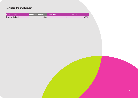#### **Northern Ireland Turnout**

| Local Council    | Population age 11-18 $\frac{1}{2}$ Total Vote | Turnout % |       |  |
|------------------|-----------------------------------------------|-----------|-------|--|
| Northern Ireland | 191,993                                       | 97        | 0.05% |  |
|                  |                                               |           |       |  |
|                  |                                               |           |       |  |
|                  |                                               |           |       |  |
|                  |                                               |           |       |  |
|                  |                                               |           |       |  |
|                  |                                               |           |       |  |
|                  |                                               |           |       |  |
|                  |                                               |           |       |  |
|                  |                                               |           |       |  |
|                  |                                               |           |       |  |
|                  |                                               |           |       |  |
|                  |                                               |           |       |  |
|                  |                                               |           |       |  |
|                  |                                               |           |       |  |
|                  |                                               |           |       |  |
|                  |                                               |           |       |  |
|                  |                                               |           |       |  |
|                  |                                               |           |       |  |
|                  |                                               |           |       |  |
|                  |                                               |           |       |  |
|                  |                                               |           |       |  |
|                  |                                               |           |       |  |
|                  |                                               |           |       |  |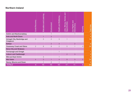#### **Northern Ireland**

|                                         | Recover<br>Covid I | <b>Lulea-</b><br>Education and | Environment       | Health and Wellbeing | and<br>Homes<br>Jobs, Money,<br>Opportunities | Our Rights and<br>ac)<br>ភ<br>ŏ<br>j<br>O | Poverty        | <b>Total Vote</b> |
|-----------------------------------------|--------------------|--------------------------------|-------------------|----------------------|-----------------------------------------------|-------------------------------------------|----------------|-------------------|
| <b>Antrim and Newtownabbey</b>          |                    |                                |                   |                      |                                               |                                           |                | $\overline{2}$    |
| <b>Ards and North Down</b>              |                    |                                | 3                 |                      |                                               |                                           |                |                   |
| Armagh City, Banbridge and<br>Craigavon | 3                  | 5                              | $\overline{2}$    | 3                    |                                               |                                           |                | 14                |
| <b>Belfast</b>                          |                    |                                | $2^{\frac{1}{2}}$ | $\overline{4}$       |                                               | $\overline{2}$                            |                | 8                 |
| <b>Causeway Coast and Glens</b>         | $\overline{2}$     | 6                              | 8                 | $\overline{2}$       | 5                                             |                                           | $\overline{4}$ | 28                |
| Derry City and Strabane                 |                    |                                |                   |                      |                                               |                                           |                |                   |
| Fermanagh and Omagh                     |                    |                                |                   |                      |                                               |                                           |                |                   |
| <b>Lisburn and Castlereagh</b>          |                    |                                |                   |                      | $\overline{2}$                                | 3                                         |                | 5                 |
| <b>Mid and East Antrim</b>              |                    | 3                              |                   |                      |                                               |                                           |                |                   |
| <b>Mid Ulster</b>                       | 4 <sup>1</sup>     | 3                              | 1.                | $\overline{4}$       | 8                                             | 3                                         | $\overline{2}$ | 25                |
| Newry, Mourne and Down                  |                    |                                | $\mathbf{2}$      |                      |                                               |                                           |                | 6                 |
| <b>TOTALS</b>                           | 9:                 | 19 <sup>1</sup>                | 19:               | 16:                  | 17:                                           | 11                                        | 6              | 97                |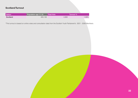#### **Scotland Turnout**

| Nation   | : Population age 11-18 | <b>Total Vote</b> | <b>Turnout %</b> |
|----------|------------------------|-------------------|------------------|
| Scotland | 460,138                | 4,993             | $1.09\%$         |

\*This turnout is based on online votes and consultation data from the Scottish Youth Parliament's 2021 - 2026 Manifesto.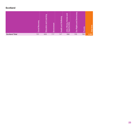#### **Scotland**

|                       | æ<br>æ<br>은<br>Ō: | ත<br>w<br>ø<br>ਨ<br>ത<br>O<br>÷<br>൹<br>ਨ<br>ш٠ | 面:  | ත<br>க<br><b>Jello</b><br>and<br>Health<br><br>Health | and<br>es<br>m<br>P<br>C<br><u>. .</u><br>$\overline{\circ}$<br>O :<br>∍ | ጣ<br>$\overline{\mathfrak{a}}$<br>ഗ<br>Righ<br>$\mathbf{5}$ | $\overline{\mathbb{G}}$<br>$\Omega$ | ø<br>ल |
|-----------------------|-------------------|-------------------------------------------------|-----|-------------------------------------------------------|--------------------------------------------------------------------------|-------------------------------------------------------------|-------------------------------------|--------|
| <b>Scotland Total</b> | 701               | 659                                             | 717 | 747                                                   | 696                                                                      | 705                                                         | 768                                 | 4,993  |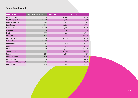#### **South East Turnout**

| <b>Local Council</b>          | Population age 11-18 | <b>Total Vote</b> | Turnout % |
|-------------------------------|----------------------|-------------------|-----------|
| <b>Bracknell Forest</b>       | 13,076               | 3,441             | 26.32%    |
| <b>Brighton and Hove</b>      | 23,228               | 1,820             | 7.84%     |
| <b>Buckinghamshire</b>        | 56,562               | 613               | 1.08%     |
| <b>East Sussex</b>            | 48,922               | 9,565             | 19.55%    |
| Hampshire                     | 127,689              | 17,385            | 13.62%    |
| <b>Isle of Wight</b>          | 11,375               | 893               | 7.85%     |
| Kent                          | 153,377              | 989               | 0.64%     |
| <b>Medway</b>                 | 27,598               | 7,988             | 28.94%    |
| <b>Milton Keynes</b>          | 28,879               | 3,174             | 10.99%    |
| <b>Oxfordshire</b>            | 64,762               | 17                | 0.03%     |
| Portsmouth                    | 18,967               | 1,319             | 6.95%     |
| Reading                       | 14,700               | 926               | 6.30%     |
| Slough                        | 17,279               | 4,543             | 26.29%    |
| Southampton                   | 21,017               | 6,080             | 28.93%    |
| <b>Surrey</b>                 | 117,389              | 1,365             | 1.16%     |
| <b>West Berkshire</b>         | 16,599               | 152               | 0.92%     |
| <b>West Sussex</b>            | 77,675               | 11,212            | 14.43%    |
| <b>Windsor and Maidenhead</b> | 16,541               | 422               | 2.55%     |
| Wokingham                     | 18,405               | 458               | 2.49%     |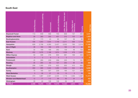#### **South East**

|                               | Recovery<br>Covid | Education and Learning | Environment | <b>Health and Wellbeing</b> | <b>loug</b><br>Homes<br>Jobs, Money,<br>Opportunities | <b>Our Rights and</b><br>Ge.<br>mocr<br><b>Dei</b> | Poverty        | <b>Total Vote</b> |
|-------------------------------|-------------------|------------------------|-------------|-----------------------------|-------------------------------------------------------|----------------------------------------------------|----------------|-------------------|
| <b>Bracknell Forest</b>       | 113               | 649                    | 568         | 700                         | 809                                                   | 137                                                | 465            | 3,441             |
| <b>Brighton and Hove</b>      | 58                | 383                    | 303         | 401                         | 315                                                   | 153                                                | 207            | 1,820             |
| <b>Buckinghamshire</b>        | 31                | 173                    | 43          | 90                          | 137                                                   | 56                                                 | 83             | 613               |
| <b>East Sussex</b>            | 406               | 1,853                  | 1,834       | 1,748                       | 2,011                                                 | 599                                                | 1,114          | 9,565             |
| Hampshire                     | 628               | 2,706                  | 4,260       | 3,457                       | 3,532                                                 | 783                                                | 2,019          | 17,385            |
| <b>Isle of Wight</b>          | 38                | 160                    | 169         | 210                         | 182                                                   | 50                                                 | 84             | 893               |
| Kent                          | 32                | 189                    | 166         | 262                         | 159                                                   | 48                                                 | 133            | 989               |
| <b>Medway</b>                 | 452               | 1,676                  | 1,168       | 1,674                       | 1,539                                                 | 478                                                | 1,001          | 7,988             |
| <b>Milton Keynes</b>          | 50                | 598                    | 476         | 800                         | 681                                                   | 169                                                | 400            | 3,174             |
| Oxfordshire                   | $\overline{O}$    | $\overline{2}$         | 6           | 5                           | $\overline{2}$                                        |                                                    | $\overline{2}$ | 17                |
| Portsmouth                    | 45                | 280                    | 239         | 299                         | 225                                                   | 70                                                 | 161            | 1,319             |
| Reading                       | 35                | 264                    | 83          | 137                         | 250                                                   | 95                                                 | 62             | 926               |
| Slough                        | 206               | 1,093                  | 579         | 622                         | 933                                                   | 415                                                | 695            | 4,543             |
| Southampton                   | 260               | 995                    | 1,042       | 1,283                       | 1,494                                                 | 334                                                | 672            | 6,080             |
| <b>Surrey</b>                 | 75                | 185                    | 327         | 229                         | 195                                                   | 121                                                | 233            | 1,365             |
| <b>West Berkshire</b>         | $\overline{O}$    | 26                     | 37          | 33                          | 13                                                    | 5                                                  | 38             | 152               |
| <b>West Sussex</b>            | 474               | 1,887                  | 2,567       | 2,434                       | 1,718                                                 | 1,035                                              | 1,097          | 11,212            |
| <b>Windsor and Maidenhead</b> | 12                | 77                     | 112         | 89                          | 63                                                    | 34                                                 | 35             | 422               |
| Wokingham                     | 33                | 44                     | 106         | 106                         | 64                                                    | 28                                                 | 77             | 458               |
| <b>TOTALS</b>                 | $\sqrt{2,948}$    | 13,240                 | 14,085      | 14,579                      | 14,322                                                | $\overline{4,610}$                                 | 8,578          | 72,362            |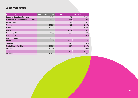#### **South West Turnout**

| <b>Local Council</b>                | Population age 11-18 Total Vote |       | Turnout % |
|-------------------------------------|---------------------------------|-------|-----------|
| <b>Bath and North East Somerset</b> | 17,124                          | 84    | 0.49%     |
| Bournemouth, Christchurch and Poole | 33,402                          | 5,474 | 16.39%    |
| Bristol, City of                    | 38,010                          | 599   | 1.58%     |
| Cornwall                            | 49,294                          | 1,122 | 2.28%     |
| Devon                               | 67,713                          | 4,230 | 6.25%     |
| <b>Dorset</b>                       | 32,809                          | 6,474 | 19.73%    |
| Gloucestershire                     | 57,909                          | 1,505 | 2.60%     |
| <b>Isles of Scilly</b>              | 133                             | 0     | 0.00%     |
| <b>North Somerset</b>               | 19,340                          |       | 0.01%     |
| Plymouth                            | 22,735                          | 8,701 | 38.27%    |
| Somerset                            | 50,550                          | 1,921 | 3.80%     |
| <b>South Gloucestershire</b>        | 25,684                          | 957   | 3.73%     |
| Swindon                             | 20,971                          |       | 0.00%     |
| <b>Torbay</b>                       | 11,189                          | 455   | 4.07%     |
| <b>Wiltshire</b>                    | 48,183                          | 4,373 | 9.08%     |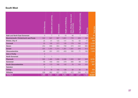#### **South West**

|                                     | Covid Recovery | Learning<br>Education and | Environment | Health and Wellbeing | $\overline{and}$<br>Jobs, Money, Homes<br>tunitie<br>Oppor | Democracy<br>Our Rights and | Poverty            | <b>Total Vote</b> |
|-------------------------------------|----------------|---------------------------|-------------|----------------------|------------------------------------------------------------|-----------------------------|--------------------|-------------------|
| <b>Bath and North East Somerset</b> | $\overline{4}$ | $\overline{7}$            | 6           | 10                   | 46                                                         | $\overline{7}$              | $\overline{4}$     | 84                |
| Bournemouth, Christchurch and Poole | 342            | 947                       | 907         | 1,601                | 776                                                        | 409                         | 492                | 5,474             |
| Bristol, City of                    | 25             | 91                        | 125         | 141                  | 78                                                         | 62                          | 77                 | 599               |
| <b>Cornwall</b>                     | 55             | 190                       | 277         | 135                  | 179                                                        | 165                         | 121                | 1,122             |
| Devon                               | 252            | 666                       | 854         | 790                  | 370                                                        | 432                         | 866                | 4,230             |
| <b>Dorset</b>                       | 304            | 1,454                     | 1,314       | 1,361                | 1,081                                                      | 348                         | 612                | 6,474             |
| Gloucestershire                     | 46             | 291                       | 372         | 403                  | 160                                                        | 71                          | 162                | 1,505             |
| <b>Isles of Scilly</b>              | $\mathsf O$    |                           |             |                      |                                                            |                             |                    |                   |
| <b>North Somerset</b>               | $\overline{O}$ | 1                         |             |                      |                                                            |                             |                    |                   |
| Plymouth                            | 585            | 1,485                     | 1,698       | 2,086                | 1,305                                                      | 597                         | 945                | 8,701             |
| <b>Somerset</b>                     | 58             | 458                       | 332         | 378                  | 366                                                        | 99                          | 230                | 1,921             |
| <b>South Gloucestershire</b>        | 29             | 173                       | 180         | 142                  | 78                                                         | 155                         | 200                | 957               |
| Swindon                             | $\bigcirc$     | $\mathbf 1$               |             |                      |                                                            |                             |                    |                   |
| <b>Torbay</b>                       | 3              | 78                        | 105         | 136                  | 38                                                         | 30                          | 65                 | 455               |
| Wiltshire                           | 296            | 982                       | 837         | 1,079                | 472                                                        | 296                         | 411                | 4,373             |
| <b>TOTALS</b>                       | 1,999          | 6,824                     | 7,007       | 8,262:               | 4,949                                                      | 2,671                       | $\overline{4,}185$ | 35,897            |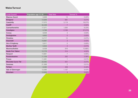#### **Wales Turnout**

| <b>Local Council</b>     | Population age 11-18 | <b>Total Vote</b> | Turnout % |
|--------------------------|----------------------|-------------------|-----------|
| <b>Blaenau Gwent</b>     | 5,938                | 13                | 0.22%     |
| <b>Bridgend</b>          | 12,926               | 681               | 5.27%     |
| Caerphilly               | 17,072               | 3,119             | 18.27%    |
| Cardiff                  | 32,438               | $\overline{7}$    | 0.02%     |
| Carmarthenshire          | 17,071               | 1,064             | 6.23%     |
| Ceredigion               | 5,796                | 2,160             | 37.27%    |
| Conwy                    | 9,638                | 3                 | 0.03%     |
| Denbighshire             | 8,863                | $\overline{O}$    | 0.00%     |
| <b>Flintshire</b>        | 14,717               | 10                | 0.07%     |
| Gwynedd                  | 10,887               | 3                 | 0.03%     |
| <b>Isle of Anglesey</b>  | 5,911                | $\overline{O}$    | $0.00\%$  |
| <b>Merthyr Tydfil</b>    | 5,504                | $\overline{4}$    | 0.07%     |
| Monmouthshire            | 8,438                | 916               | 10.86%    |
| <b>Neath Port Talbot</b> | 12,776               | 514               | 4.02%     |
| Newport                  | 14,861               | $\overline{7}$    | 0.05%     |
| Pembrokeshire            | 11,109               | 262               | 2.36%     |
| <b>Powys</b>             | 11,291               |                   | 0.01%     |
| <b>Rhondda Cynon Taf</b> | 22,062               | 501               | 2.27%     |
| Swansea                  | 21,368               | $\overline{2}$    | 0.01%     |
| <b>Torfaen</b>           | 8,495                | 459               | 5.40%     |
| Vale of Glamorgan        | 12,585               | 1,137             | 9.03%     |
| Wrexham                  | 12,835               | 3                 | 0.02%     |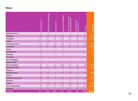#### **Wales**

|                           | Recovery<br>Covid | <b>Education and Learning</b> | Environment              | <b>Health and Wellbeing</b> | Jobs, Money, Homes<br>Opportunities<br>and | Our Rights and<br><b>Democracy</b> | Poverty        | <b>Total Vote</b> |
|---------------------------|-------------------|-------------------------------|--------------------------|-----------------------------|--------------------------------------------|------------------------------------|----------------|-------------------|
| <b>Blaenau Gwent</b>      | $\overline{2}$    | 3                             | $\mathbf{1}$             | $\mathbf{1}$                | $\overline{4}$                             | $\mathbf{1}$                       | $\mathbf{1}$   | 13                |
| <b>Bridgend</b>           | 36                | 99                            | 90                       | 274                         | 84                                         | 37                                 | 61             | 681               |
| Caerphilly                | 211               | 477                           | 404                      | 1,125                       | 544                                        | 103                                | 255            | 3,119             |
| <b>Cardiff</b>            | $\mathbf{1}$      | $\overline{2}$                | L,                       | $\overline{1}$              |                                            | $\mathbf{1}$                       | $\overline{2}$ |                   |
| Carmarthenshire           | 179               | 242                           | 108                      | 288                         | 115                                        | 13                                 | 119            | 1,064             |
| Ceredigion                | 154               | 371                           | 405                      | 483                         | 451                                        | 113                                | 183            | 2,160             |
| Conwy                     | $\sqrt{a}$        | $\overline{a}$                | $\sqrt{2}$               | $\mathbf{1}$                |                                            |                                    |                | 3                 |
| Denbighshire              | $\overline{O}$    |                               |                          |                             |                                            |                                    |                |                   |
| <b>Flintshire</b>         | $\mathsf O$       |                               | 5                        | 3                           | $\mathbf{1}$                               | $\mathbf{1}$                       |                | 10                |
| Gwynedd                   | $\overline{O}$    |                               |                          | 1                           | $\mathbf{1}$                               |                                    | $\mathbf{1}$   | 3                 |
| <b>Isle of Anglesey</b>   | $\overline{O}$    |                               |                          |                             |                                            |                                    |                |                   |
| <b>Merthyr Tydfil</b>     | $\overline{O}$    | $\overline{2}$                | $\mathbf{1}$             |                             | 1                                          |                                    |                | 4                 |
| Monmouthshire             | 92                | 111                           | 101                      | 280                         | 170                                        | 80                                 | 82             | 916               |
| <b>Neath Port Talbot</b>  | 58                | 67                            | 87                       | 114                         | 76                                         | 35                                 | 77             | 514               |
| Newport                   | $\overline{O}$    | $\mathbf{1}$                  | $\mathbf{1}$             | $\mathbf{1}$                | $\overline{2}$                             | $\mathbf{1}$                       | $\mathbf{1}$   | 7                 |
| Pembrokeshire             | 29                | 42                            | 47                       | 52                          | 54                                         | 17                                 | 21             | 262               |
| <b>Powys</b>              | $\overline{0}$    | $\mathbf{1}$                  | $\overline{\phantom{a}}$ | $\overline{a}$              | $\overline{a}$                             |                                    |                | 1                 |
| <b>Rhondda Cynon Taff</b> | 39                | 94                            | 74                       | 128                         | 73                                         | 40                                 | 53             | 501               |
| Swansea                   | $\mathbf 0$       |                               | $\overline{a}$           |                             | $\mathbf{2}$                               | $\overline{a}$                     |                | $\overline{2}$    |
| <b>Torfaen</b>            | 11                | 116                           | 91                       | 120                         | 88                                         | 12                                 | 21             | 459               |
| Vale of Glamorgan         | 58                | 247                           | 237                      | 243                         | 182                                        | 39                                 | 131            | 1,137             |
| Wrexham                   | 1                 | $\mathbf{1}$                  |                          |                             |                                            | $\mathbf{1}$                       |                | 3                 |
| <b>TOTALS</b>             | 871               | 1,876                         | 1,654                    | 3,115                       | 1,848                                      | 494                                | 1,008          | 10,866            |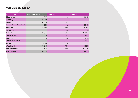#### **West Midlands Turnout**

| <b>Local Council</b>      | Population age 11-18 | <b>Total Vote</b> | Turnout % |
|---------------------------|----------------------|-------------------|-----------|
| <b>Birmingham</b>         | 123,327              | 13                | 0.01%     |
| Coventry                  | 33,878               | 5                 | 0.01%     |
| <b>Dudley</b>             | 30,563               | 1,537             | 5.03%     |
| Herefordshire, County of  | 16,138               | $\overline{2}$    | 0.01%     |
| Sandwell                  | 34,860               | 2,422             | 6.95%     |
| <b>Shropshire</b>         | 28,507               | 969               | 3.40%     |
| <b>Solihull</b>           | 21,354               | 2,544             | 11.91%    |
| <b>Staffordshire</b>      | 77,553               | 1,541             | 1.99%     |
| Stoke-on-Trent            | 23,863               | 785               | 3.29%     |
| <b>Telford and Wrekin</b> | 18,085               | 4,855             | 26.85%    |
| <b>Walsall</b>            | 29,528               | 5                 | 0.02%     |
| Warwickshire              | 52,213               | 709               | 1.36%     |
| Wolverhampton             | 25,808               | 10,146            | 39.31%    |
| Worcestershire            | 53,285               | 2,362             | 4.43%     |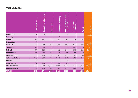#### **West Midlands**

|                           | Recovery<br>Covid | Learning<br>Education and | Environment    | and Wellbeing<br>Health a | Jobs, Money, Homes and<br>tunitie<br>Oppor | Our Rights and<br>Democracy | Poverty | <b>Total Vote</b> |
|---------------------------|-------------------|---------------------------|----------------|---------------------------|--------------------------------------------|-----------------------------|---------|-------------------|
| Birmingham                |                   | 6                         | $\overline{2}$ |                           |                                            |                             |         | 13                |
| Coventry                  | $\overline{0}$    |                           | 1              | 3                         |                                            | 1                           |         |                   |
| <b>Dudley</b>             | 74                | 294                       | 252            | 357                       | 389                                        | 64                          | 107     | 1,537             |
| Herefordshire             | $\overline{0}$    |                           |                |                           |                                            | $\mathbf{1}$                |         |                   |
| Sandwell                  | 220               | 379                       | 335            | 521                       | 513                                        | 191                         | 263     | 2,422             |
| Shropshire                | 94                | 83                        | 242            | 113                       | 86                                         | 125                         | 226     | 969               |
| Solihull                  | 87                | 435                       | 467            | 489                       | 614                                        | 146                         | 306     | 2,544             |
| <b>Staffordshire</b>      | 117               | 242                       | 288            | 375                       | 286                                        | 64                          | 169     | 1,541             |
| Stoke-on-Trent            | 58                | 106                       | 105            | 167                       | 208                                        | 46                          | 95      | 785               |
| <b>Telford and Wrekin</b> | 175               | 868                       | 913            | 1,275                     | 941                                        | 242                         | 441     | 4,855             |
| <b>Walsall</b>            | $\overline{O}$    | $\overline{2}$            |                |                           |                                            |                             |         |                   |
| Warwickshire              | 31                | 153                       | 118            | 160                       | 73                                         | 33                          | 141     | 709               |
| Wolverhampton             | 699               | 2,038                     | 1,728          | 1,906                     | 1,990                                      | 531                         | 1,254   | 10,146            |
| Worcestershire            | 84                | 465                       | 501            | 460                       | 468                                        | 123                         | 261     | 2,362             |
| <b>TOTALS</b>             | 1,640             | 5,071                     | 4,953          | 5,828                     | 5,570                                      | 1,569                       | 3,264   | 27,895            |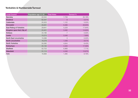#### **Yorkshire & Humberside Turnout**

| <b>Local Council</b>            | Population age 11-18 | <b>Total Votes</b> | Turnout % |
|---------------------------------|----------------------|--------------------|-----------|
| <b>Barnsley</b>                 | 22,044               | 7,758              | 35.19%    |
| <b>Bradford</b>                 | 62,347               | 8                  | 0.01%     |
| Calderdale                      | 20,323               | 1,122              | 5.52%     |
| <b>Doncaster</b>                | 29,261               | 8,466              | 28.93%    |
| <b>East Riding of Yorkshire</b> | 29,641               | 5,229              | 17.64%    |
| Kingston upon Hull, City of     | 23,401               | 3,492              | 14.92%    |
| <b>Kirklees</b>                 | 44,186               |                    | 0.02%     |
| <b>Leeds</b>                    | 70,274               | 5,546              | 7.89%     |
| <b>North East Lincolnshire</b>  | 15,088               | 3                  | 0.02%     |
| <b>North Lincolnshire</b>       | 16,278               | 1,548              | 9.51%     |
| North Yorkshire                 | 55,095               | 4,644              | 8.43%     |
| Rotherham                       | 25,130               | 4,420              | 17.59%    |
| <b>Sheffield</b>                | 52,723               | 6,968              | 7.71%     |
| <b>Wakefield</b>                | 31,114               | 4,346              | 13.97%    |
| York                            | 16,889               | 1,485              | 8.79%     |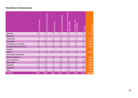#### **Yorkshire & Humberside**

|                                 | <b>Covid Recovery</b> | Learning<br>and<br><br>Education | Environment | Health and Wellbeing | Jobs, Money, Homes and<br>Opportunities | <b>Our Rights and</b><br><b>Democrac</b> | Poverty | <b>Total Vote</b>  |
|---------------------------------|-----------------------|----------------------------------|-------------|----------------------|-----------------------------------------|------------------------------------------|---------|--------------------|
| <b>Barnsley</b>                 | 520                   | 1,140                            | 1,197       | 1,751                | 1,894                                   | 319                                      | 937     | 7,758              |
| <b>Bradford</b>                 | $\overline{O}$        | $\mathbf{1}$                     | 1           | $\overline{2}$       | $\overline{2}$                          | 1                                        |         | 8                  |
| Calderdale                      | 19                    | 201                              | 201         | 259                  | 225                                     | 52                                       | 165     | $\overline{1,122}$ |
| <b>Doncaster</b>                | 402                   | 1,351                            | 1,218       | 1,903                | 1,851                                   | 470                                      | 1,271   | 8,466              |
| <b>East Riding of Yorkshire</b> | 354                   | 855                              | 914         | 1,130                | 1,233                                   | 267                                      | 476     | 5,229              |
| Kingston upon Hull, City of     | 180                   | 725                              | 532         | 852                  | 701                                     | 171                                      | 331     | 3,492              |
| <b>Kirklees</b>                 | $\mathsf O$           | 1                                | 3           |                      | 1                                       | 1                                        |         |                    |
| <b>Leeds</b>                    | 318                   | 835                              | 1,014       | 1,102                | 1,067                                   | 470                                      | 740     | 5,546              |
| <b>North East Lincolnshire</b>  | 0                     | $\mathbf{2}$                     |             |                      |                                         | 1                                        |         |                    |
| <b>North Lincolnshire</b>       | 98                    | 191                              | 237         | 465                  | 331                                     | 88                                       | 138     | 1,548              |
| <b>North Yorkshire</b>          | 229                   | 939                              | 901         | 948                  | 903                                     | 278                                      | 446     | 4,644              |
| Rotherham                       | 228                   | 807                              | 721         | 991                  | 910                                     | 240                                      | 523     | 4,420              |
| <b>Sheffield</b>                | 338                   | 1,295                            | 1,157       | 1,589                | 1,373                                   | 342                                      | 874     | 6,968              |
| <b>Wakefield</b>                | 1064                  | 492                              | 423         | 957                  | 879                                     | 162                                      | 369     | 4,346              |
| <b>York</b>                     | 74                    | 199                              | 336         | 317                  | 259                                     | 78                                       | 222     | 1,485              |
| <b>TOTALS</b>                   | 3,824                 | 9,034                            | 8,855       | 12,267               | 11,629                                  | 2,940                                    | 6,493   | 55,042             |